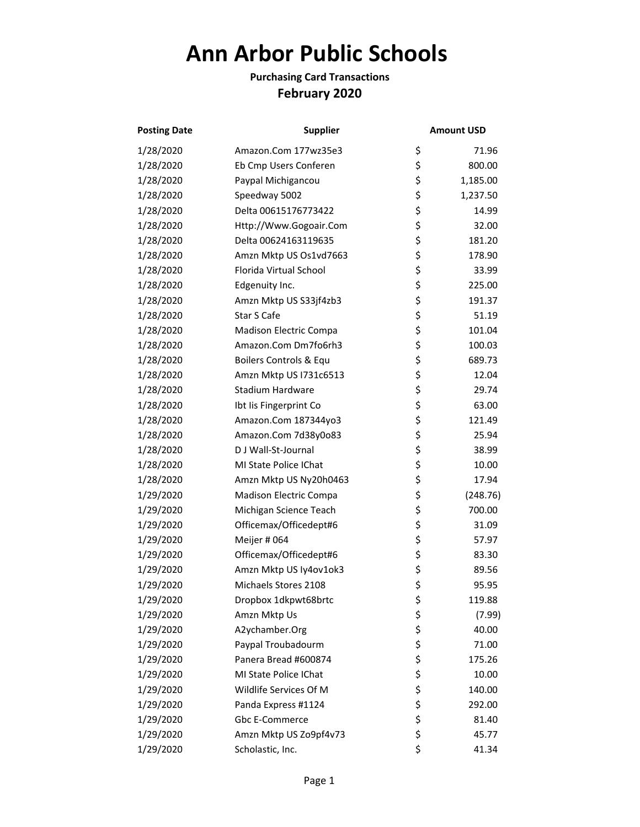## **Ann Arbor Public Schools**

## **Purchasing Card Transactions February 2020**

| <b>Posting Date</b> | <b>Supplier</b>        | <b>Amount USD</b> |          |
|---------------------|------------------------|-------------------|----------|
| 1/28/2020           | Amazon.Com 177wz35e3   | \$                | 71.96    |
| 1/28/2020           | Eb Cmp Users Conferen  | \$                | 800.00   |
| 1/28/2020           | Paypal Michigancou     | \$                | 1,185.00 |
| 1/28/2020           | Speedway 5002          | \$                | 1,237.50 |
| 1/28/2020           | Delta 00615176773422   | \$                | 14.99    |
| 1/28/2020           | Http://Www.Gogoair.Com | \$                | 32.00    |
| 1/28/2020           | Delta 00624163119635   | \$                | 181.20   |
| 1/28/2020           | Amzn Mktp US Os1vd7663 | \$                | 178.90   |
| 1/28/2020           | Florida Virtual School | \$                | 33.99    |
| 1/28/2020           | Edgenuity Inc.         | \$                | 225.00   |
| 1/28/2020           | Amzn Mktp US S33jf4zb3 | \$                | 191.37   |
| 1/28/2020           | Star S Cafe            | \$                | 51.19    |
| 1/28/2020           | Madison Electric Compa | \$                | 101.04   |
| 1/28/2020           | Amazon.Com Dm7fo6rh3   | \$                | 100.03   |
| 1/28/2020           | Boilers Controls & Equ | \$                | 689.73   |
| 1/28/2020           | Amzn Mktp US I731c6513 | \$                | 12.04    |
| 1/28/2020           | Stadium Hardware       | \$                | 29.74    |
| 1/28/2020           | Ibt Iis Fingerprint Co | \$                | 63.00    |
| 1/28/2020           | Amazon.Com 187344yo3   | \$                | 121.49   |
| 1/28/2020           | Amazon.Com 7d38y0o83   | \$                | 25.94    |
| 1/28/2020           | D J Wall-St-Journal    | \$                | 38.99    |
| 1/28/2020           | MI State Police IChat  | \$                | 10.00    |
| 1/28/2020           | Amzn Mktp US Ny20h0463 | \$                | 17.94    |
| 1/29/2020           | Madison Electric Compa | \$                | (248.76) |
| 1/29/2020           | Michigan Science Teach | \$                | 700.00   |
| 1/29/2020           | Officemax/Officedept#6 | \$                | 31.09    |
| 1/29/2020           | Meijer # 064           | \$                | 57.97    |
| 1/29/2020           | Officemax/Officedept#6 | \$                | 83.30    |
| 1/29/2020           | Amzn Mktp US Iy4ov1ok3 | \$                | 89.56    |
| 1/29/2020           | Michaels Stores 2108   | \$                | 95.95    |
| 1/29/2020           | Dropbox 1dkpwt68brtc   | \$                | 119.88   |
| 1/29/2020           | Amzn Mktp Us           | \$                | (7.99)   |
| 1/29/2020           | A2ychamber.Org         | \$                | 40.00    |
| 1/29/2020           | Paypal Troubadourm     | \$                | 71.00    |
| 1/29/2020           | Panera Bread #600874   | \$                | 175.26   |
| 1/29/2020           | MI State Police IChat  | \$                | 10.00    |
| 1/29/2020           | Wildlife Services Of M | \$                | 140.00   |
| 1/29/2020           | Panda Express #1124    | \$                | 292.00   |
| 1/29/2020           | Gbc E-Commerce         | \$                | 81.40    |
| 1/29/2020           | Amzn Mktp US Zo9pf4v73 | \$                | 45.77    |
| 1/29/2020           | Scholastic, Inc.       | \$                | 41.34    |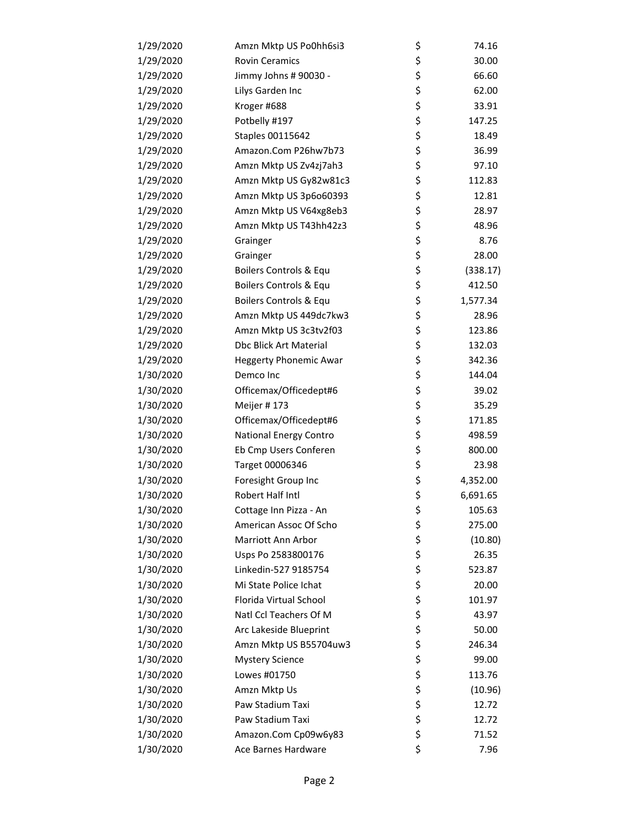| 1/29/2020 | Amzn Mktp US Po0hh6si3        | \$<br>74.16    |
|-----------|-------------------------------|----------------|
| 1/29/2020 | <b>Rovin Ceramics</b>         | \$<br>30.00    |
| 1/29/2020 | Jimmy Johns # 90030 -         | \$<br>66.60    |
| 1/29/2020 | Lilys Garden Inc              | \$<br>62.00    |
| 1/29/2020 | Kroger #688                   | \$<br>33.91    |
| 1/29/2020 | Potbelly #197                 | \$<br>147.25   |
| 1/29/2020 | Staples 00115642              | \$<br>18.49    |
| 1/29/2020 | Amazon.Com P26hw7b73          | \$<br>36.99    |
| 1/29/2020 | Amzn Mktp US Zv4zj7ah3        | \$<br>97.10    |
| 1/29/2020 | Amzn Mktp US Gy82w81c3        | \$<br>112.83   |
| 1/29/2020 | Amzn Mktp US 3p6o60393        | \$<br>12.81    |
| 1/29/2020 | Amzn Mktp US V64xg8eb3        | \$<br>28.97    |
| 1/29/2020 | Amzn Mktp US T43hh42z3        | \$<br>48.96    |
| 1/29/2020 | Grainger                      | \$<br>8.76     |
| 1/29/2020 | Grainger                      | \$<br>28.00    |
| 1/29/2020 | Boilers Controls & Equ        | \$<br>(338.17) |
| 1/29/2020 | Boilers Controls & Equ        | \$<br>412.50   |
| 1/29/2020 | Boilers Controls & Equ        | \$<br>1,577.34 |
| 1/29/2020 | Amzn Mktp US 449dc7kw3        | \$<br>28.96    |
| 1/29/2020 | Amzn Mktp US 3c3tv2f03        | \$<br>123.86   |
| 1/29/2020 | Dbc Blick Art Material        | \$<br>132.03   |
| 1/29/2020 | <b>Heggerty Phonemic Awar</b> | \$<br>342.36   |
| 1/30/2020 | Demco Inc                     | \$<br>144.04   |
| 1/30/2020 | Officemax/Officedept#6        | \$<br>39.02    |
| 1/30/2020 | Meijer #173                   | \$<br>35.29    |
| 1/30/2020 | Officemax/Officedept#6        | \$<br>171.85   |
| 1/30/2020 | National Energy Contro        | \$<br>498.59   |
| 1/30/2020 | Eb Cmp Users Conferen         | \$<br>800.00   |
| 1/30/2020 | Target 00006346               | \$<br>23.98    |
| 1/30/2020 | Foresight Group Inc           | \$<br>4,352.00 |
| 1/30/2020 | Robert Half Intl              | \$<br>6,691.65 |
| 1/30/2020 | Cottage Inn Pizza - An        | \$<br>105.63   |
| 1/30/2020 | American Assoc Of Scho        | \$<br>275.00   |
| 1/30/2020 | Marriott Ann Arbor            | \$<br>(10.80)  |
| 1/30/2020 | Usps Po 2583800176            | \$<br>26.35    |
| 1/30/2020 | Linkedin-527 9185754          | \$<br>523.87   |
| 1/30/2020 | Mi State Police Ichat         | \$<br>20.00    |
| 1/30/2020 | Florida Virtual School        | \$<br>101.97   |
| 1/30/2020 | Natl Ccl Teachers Of M        | \$<br>43.97    |
| 1/30/2020 | Arc Lakeside Blueprint        | \$<br>50.00    |
| 1/30/2020 | Amzn Mktp US B55704uw3        | \$<br>246.34   |
| 1/30/2020 | <b>Mystery Science</b>        | \$<br>99.00    |
| 1/30/2020 | Lowes #01750                  | \$<br>113.76   |
| 1/30/2020 | Amzn Mktp Us                  | \$<br>(10.96)  |
| 1/30/2020 | Paw Stadium Taxi              | \$<br>12.72    |
| 1/30/2020 | Paw Stadium Taxi              | \$<br>12.72    |
| 1/30/2020 | Amazon.Com Cp09w6y83          | \$<br>71.52    |
| 1/30/2020 | Ace Barnes Hardware           | \$<br>7.96     |
|           |                               |                |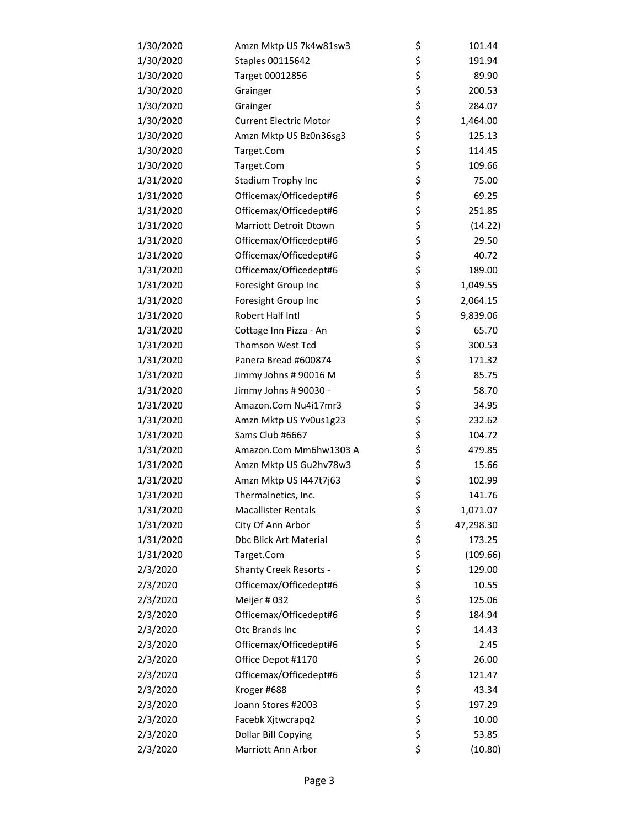| 1/30/2020 | Amzn Mktp US 7k4w81sw3        | \$<br>101.44    |
|-----------|-------------------------------|-----------------|
| 1/30/2020 | Staples 00115642              | \$<br>191.94    |
| 1/30/2020 | Target 00012856               | \$<br>89.90     |
| 1/30/2020 | Grainger                      | \$<br>200.53    |
| 1/30/2020 | Grainger                      | \$<br>284.07    |
| 1/30/2020 | <b>Current Electric Motor</b> | \$<br>1,464.00  |
| 1/30/2020 | Amzn Mktp US Bz0n36sg3        | \$<br>125.13    |
| 1/30/2020 | Target.Com                    | \$<br>114.45    |
| 1/30/2020 | Target.Com                    | \$<br>109.66    |
| 1/31/2020 | Stadium Trophy Inc            | \$<br>75.00     |
| 1/31/2020 | Officemax/Officedept#6        | \$<br>69.25     |
| 1/31/2020 | Officemax/Officedept#6        | \$<br>251.85    |
| 1/31/2020 | Marriott Detroit Dtown        | \$<br>(14.22)   |
| 1/31/2020 | Officemax/Officedept#6        | \$<br>29.50     |
| 1/31/2020 | Officemax/Officedept#6        | \$<br>40.72     |
| 1/31/2020 | Officemax/Officedept#6        | \$<br>189.00    |
| 1/31/2020 | Foresight Group Inc           | \$<br>1,049.55  |
| 1/31/2020 | Foresight Group Inc           | \$<br>2,064.15  |
| 1/31/2020 | Robert Half Intl              | \$<br>9,839.06  |
| 1/31/2020 | Cottage Inn Pizza - An        | \$<br>65.70     |
| 1/31/2020 | Thomson West Tcd              | \$<br>300.53    |
| 1/31/2020 | Panera Bread #600874          | \$<br>171.32    |
| 1/31/2020 | Jimmy Johns # 90016 M         | \$<br>85.75     |
| 1/31/2020 | Jimmy Johns # 90030 -         | \$<br>58.70     |
| 1/31/2020 | Amazon.Com Nu4i17mr3          | \$<br>34.95     |
| 1/31/2020 | Amzn Mktp US Yv0us1g23        | \$<br>232.62    |
| 1/31/2020 | Sams Club #6667               | \$<br>104.72    |
| 1/31/2020 | Amazon.Com Mm6hw1303 A        | \$<br>479.85    |
| 1/31/2020 | Amzn Mktp US Gu2hv78w3        | \$<br>15.66     |
| 1/31/2020 | Amzn Mktp US I447t7j63        | \$<br>102.99    |
| 1/31/2020 | Thermalnetics, Inc.           | \$<br>141.76    |
| 1/31/2020 | <b>Macallister Rentals</b>    | \$<br>1,071.07  |
| 1/31/2020 | City Of Ann Arbor             | \$<br>47,298.30 |
| 1/31/2020 | Dbc Blick Art Material        | \$<br>173.25    |
| 1/31/2020 | Target.Com                    | \$<br>(109.66)  |
| 2/3/2020  | <b>Shanty Creek Resorts -</b> | \$<br>129.00    |
| 2/3/2020  | Officemax/Officedept#6        | \$<br>10.55     |
| 2/3/2020  | Meijer #032                   | \$<br>125.06    |
| 2/3/2020  | Officemax/Officedept#6        | \$<br>184.94    |
| 2/3/2020  | Otc Brands Inc                | \$<br>14.43     |
| 2/3/2020  | Officemax/Officedept#6        | \$<br>2.45      |
| 2/3/2020  | Office Depot #1170            | \$<br>26.00     |
| 2/3/2020  | Officemax/Officedept#6        | \$<br>121.47    |
| 2/3/2020  | Kroger #688                   | \$<br>43.34     |
| 2/3/2020  | Joann Stores #2003            | \$<br>197.29    |
| 2/3/2020  | Facebk Xjtwcrapq2             | \$<br>10.00     |
| 2/3/2020  | Dollar Bill Copying           | \$<br>53.85     |
| 2/3/2020  | Marriott Ann Arbor            | \$<br>(10.80)   |
|           |                               |                 |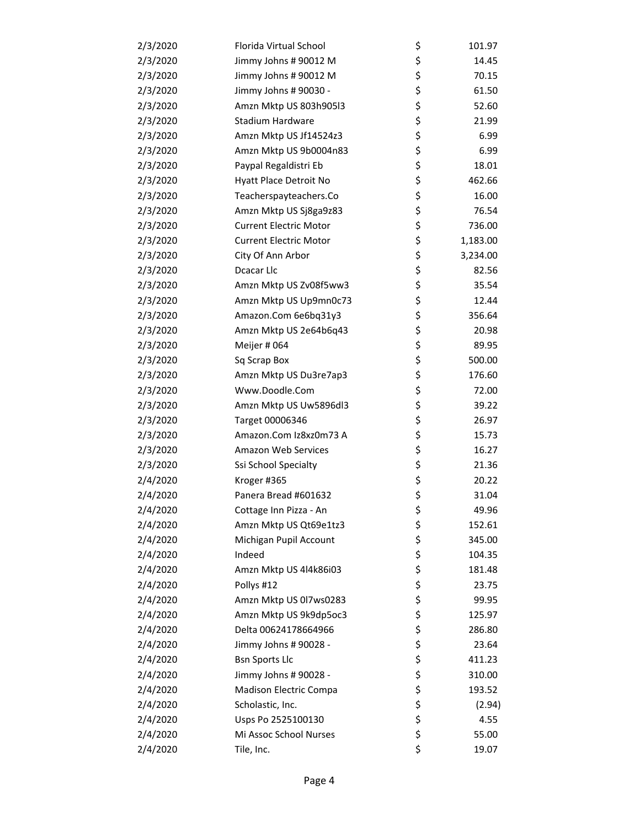| 2/3/2020 | Florida Virtual School        | \$<br>101.97   |
|----------|-------------------------------|----------------|
| 2/3/2020 | Jimmy Johns # 90012 M         | \$<br>14.45    |
| 2/3/2020 | Jimmy Johns # 90012 M         | \$<br>70.15    |
| 2/3/2020 | Jimmy Johns # 90030 -         | \$<br>61.50    |
| 2/3/2020 | Amzn Mktp US 803h905l3        | \$<br>52.60    |
| 2/3/2020 | Stadium Hardware              | \$<br>21.99    |
| 2/3/2020 | Amzn Mktp US Jf14524z3        | \$<br>6.99     |
| 2/3/2020 | Amzn Mktp US 9b0004n83        | \$<br>6.99     |
| 2/3/2020 | Paypal Regaldistri Eb         | \$<br>18.01    |
| 2/3/2020 | Hyatt Place Detroit No        | \$<br>462.66   |
| 2/3/2020 | Teacherspayteachers.Co        | \$<br>16.00    |
| 2/3/2020 | Amzn Mktp US Sj8ga9z83        | \$<br>76.54    |
| 2/3/2020 | <b>Current Electric Motor</b> | \$<br>736.00   |
| 2/3/2020 | <b>Current Electric Motor</b> | \$<br>1,183.00 |
| 2/3/2020 | City Of Ann Arbor             | \$<br>3,234.00 |
| 2/3/2020 | Dcacar Llc                    | \$<br>82.56    |
| 2/3/2020 | Amzn Mktp US Zv08f5ww3        | \$<br>35.54    |
| 2/3/2020 | Amzn Mktp US Up9mn0c73        | \$<br>12.44    |
| 2/3/2020 | Amazon.Com 6e6bq31y3          | \$<br>356.64   |
| 2/3/2020 | Amzn Mktp US 2e64b6q43        | \$<br>20.98    |
| 2/3/2020 | Meijer # 064                  | \$<br>89.95    |
| 2/3/2020 | Sq Scrap Box                  | \$<br>500.00   |
| 2/3/2020 | Amzn Mktp US Du3re7ap3        | \$<br>176.60   |
| 2/3/2020 | Www.Doodle.Com                | \$<br>72.00    |
| 2/3/2020 | Amzn Mktp US Uw5896dl3        | \$<br>39.22    |
| 2/3/2020 | Target 00006346               | \$<br>26.97    |
| 2/3/2020 | Amazon.Com Iz8xz0m73 A        | \$<br>15.73    |
| 2/3/2020 | <b>Amazon Web Services</b>    | \$<br>16.27    |
| 2/3/2020 | Ssi School Specialty          | \$<br>21.36    |
| 2/4/2020 | Kroger #365                   | \$<br>20.22    |
| 2/4/2020 | Panera Bread #601632          | \$<br>31.04    |
| 2/4/2020 | Cottage Inn Pizza - An        | \$<br>49.96    |
| 2/4/2020 | Amzn Mktp US Qt69e1tz3        | \$<br>152.61   |
| 2/4/2020 | Michigan Pupil Account        | \$<br>345.00   |
| 2/4/2020 | Indeed                        | \$<br>104.35   |
| 2/4/2020 | Amzn Mktp US 4l4k86i03        | \$<br>181.48   |
| 2/4/2020 | Pollys #12                    | \$<br>23.75    |
| 2/4/2020 | Amzn Mktp US 0l7ws0283        | \$<br>99.95    |
| 2/4/2020 | Amzn Mktp US 9k9dp5oc3        | \$<br>125.97   |
| 2/4/2020 | Delta 00624178664966          | \$<br>286.80   |
| 2/4/2020 | Jimmy Johns # 90028 -         | \$<br>23.64    |
| 2/4/2020 | <b>Bsn Sports Llc</b>         | \$<br>411.23   |
| 2/4/2020 | Jimmy Johns # 90028 -         | \$<br>310.00   |
| 2/4/2020 | Madison Electric Compa        | \$<br>193.52   |
| 2/4/2020 | Scholastic, Inc.              | \$<br>(2.94)   |
| 2/4/2020 | Usps Po 2525100130            | \$<br>4.55     |
| 2/4/2020 | Mi Assoc School Nurses        | \$<br>55.00    |
| 2/4/2020 | Tile, Inc.                    | \$<br>19.07    |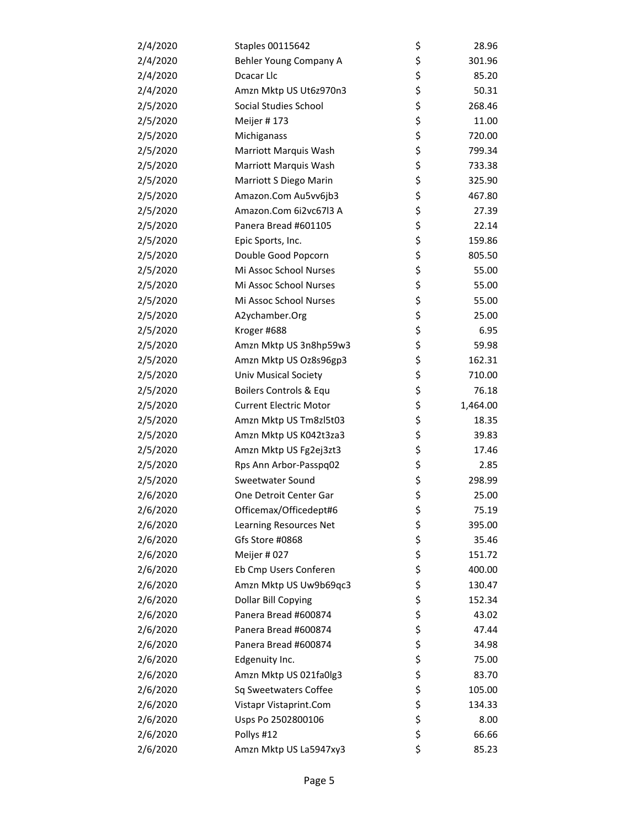| 2/4/2020 | Staples 00115642              | \$ | 28.96    |
|----------|-------------------------------|----|----------|
| 2/4/2020 | Behler Young Company A        | \$ | 301.96   |
| 2/4/2020 | Dcacar Llc                    | \$ | 85.20    |
| 2/4/2020 | Amzn Mktp US Ut6z970n3        | \$ | 50.31    |
| 2/5/2020 | Social Studies School         | \$ | 268.46   |
| 2/5/2020 | Meijer #173                   | \$ | 11.00    |
| 2/5/2020 | Michiganass                   | \$ | 720.00   |
| 2/5/2020 | Marriott Marquis Wash         | \$ | 799.34   |
| 2/5/2020 | Marriott Marquis Wash         | \$ | 733.38   |
| 2/5/2020 | Marriott S Diego Marin        | \$ | 325.90   |
| 2/5/2020 | Amazon.Com Au5vv6jb3          | \$ | 467.80   |
| 2/5/2020 | Amazon.Com 6i2vc67l3 A        | \$ | 27.39    |
| 2/5/2020 | Panera Bread #601105          | \$ | 22.14    |
| 2/5/2020 | Epic Sports, Inc.             | \$ | 159.86   |
| 2/5/2020 | Double Good Popcorn           | \$ | 805.50   |
| 2/5/2020 | Mi Assoc School Nurses        | \$ | 55.00    |
| 2/5/2020 | Mi Assoc School Nurses        | \$ | 55.00    |
| 2/5/2020 | Mi Assoc School Nurses        | \$ | 55.00    |
| 2/5/2020 | A2ychamber.Org                | \$ | 25.00    |
| 2/5/2020 | Kroger #688                   | \$ | 6.95     |
| 2/5/2020 | Amzn Mktp US 3n8hp59w3        | \$ | 59.98    |
| 2/5/2020 | Amzn Mktp US Oz8s96gp3        | \$ | 162.31   |
| 2/5/2020 | <b>Univ Musical Society</b>   | \$ | 710.00   |
| 2/5/2020 | Boilers Controls & Equ        | \$ | 76.18    |
| 2/5/2020 | <b>Current Electric Motor</b> | \$ | 1,464.00 |
| 2/5/2020 | Amzn Mktp US Tm8zl5t03        | \$ | 18.35    |
| 2/5/2020 | Amzn Mktp US K042t3za3        | \$ | 39.83    |
| 2/5/2020 | Amzn Mktp US Fg2ej3zt3        | \$ | 17.46    |
| 2/5/2020 | Rps Ann Arbor-Passpq02        | \$ | 2.85     |
| 2/5/2020 | Sweetwater Sound              | \$ | 298.99   |
| 2/6/2020 | One Detroit Center Gar        | \$ | 25.00    |
| 2/6/2020 | Officemax/Officedept#6        | Ş  | 75.19    |
| 2/6/2020 | Learning Resources Net        | \$ | 395.00   |
| 2/6/2020 | Gfs Store #0868               | \$ | 35.46    |
| 2/6/2020 | Meijer #027                   | \$ | 151.72   |
| 2/6/2020 | Eb Cmp Users Conferen         | \$ | 400.00   |
| 2/6/2020 | Amzn Mktp US Uw9b69qc3        | \$ | 130.47   |
| 2/6/2020 | Dollar Bill Copying           | \$ | 152.34   |
| 2/6/2020 | Panera Bread #600874          | \$ | 43.02    |
| 2/6/2020 | Panera Bread #600874          | \$ | 47.44    |
| 2/6/2020 | Panera Bread #600874          | \$ | 34.98    |
| 2/6/2020 | Edgenuity Inc.                | \$ | 75.00    |
| 2/6/2020 | Amzn Mktp US 021fa0lg3        | \$ | 83.70    |
| 2/6/2020 | Sq Sweetwaters Coffee         | \$ | 105.00   |
| 2/6/2020 | Vistapr Vistaprint.Com        | \$ | 134.33   |
| 2/6/2020 | Usps Po 2502800106            | \$ | 8.00     |
| 2/6/2020 | Pollys #12                    | \$ | 66.66    |
| 2/6/2020 | Amzn Mktp US La5947xy3        | \$ | 85.23    |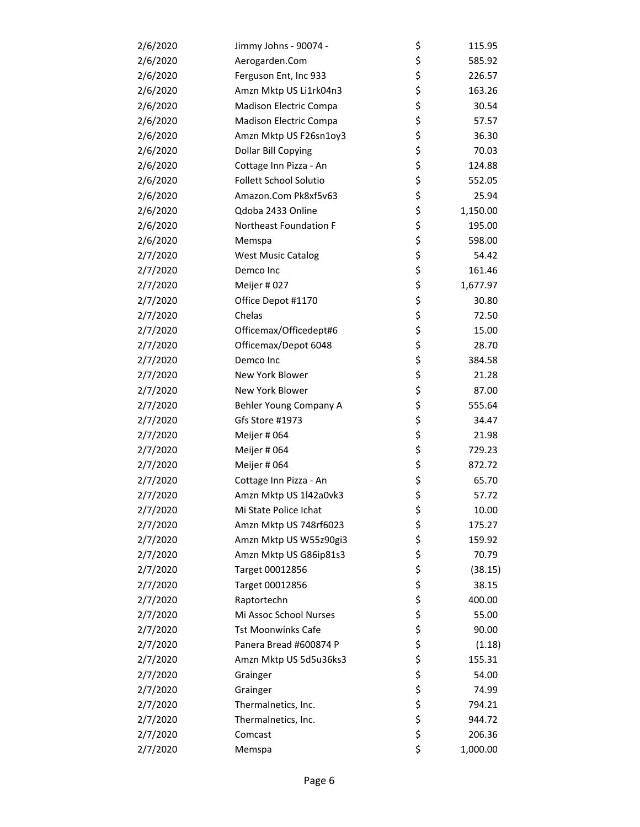| 2/6/2020 | Jimmy Johns - 90074 -         | \$<br>115.95   |
|----------|-------------------------------|----------------|
| 2/6/2020 | Aerogarden.Com                | \$<br>585.92   |
| 2/6/2020 | Ferguson Ent, Inc 933         | \$<br>226.57   |
| 2/6/2020 | Amzn Mktp US Li1rk04n3        | \$<br>163.26   |
| 2/6/2020 | Madison Electric Compa        | \$<br>30.54    |
| 2/6/2020 | Madison Electric Compa        | \$<br>57.57    |
| 2/6/2020 | Amzn Mktp US F26sn1oy3        | \$<br>36.30    |
| 2/6/2020 | Dollar Bill Copying           | \$<br>70.03    |
| 2/6/2020 | Cottage Inn Pizza - An        | \$<br>124.88   |
| 2/6/2020 | <b>Follett School Solutio</b> | \$<br>552.05   |
| 2/6/2020 | Amazon.Com Pk8xf5v63          | \$<br>25.94    |
| 2/6/2020 | Qdoba 2433 Online             | \$<br>1,150.00 |
| 2/6/2020 | Northeast Foundation F        | \$<br>195.00   |
| 2/6/2020 | Memspa                        | \$<br>598.00   |
| 2/7/2020 | <b>West Music Catalog</b>     | \$<br>54.42    |
| 2/7/2020 | Demco Inc                     | \$<br>161.46   |
| 2/7/2020 | Meijer #027                   | \$<br>1,677.97 |
| 2/7/2020 | Office Depot #1170            | \$<br>30.80    |
| 2/7/2020 | Chelas                        | \$<br>72.50    |
| 2/7/2020 | Officemax/Officedept#6        | \$<br>15.00    |
| 2/7/2020 | Officemax/Depot 6048          | \$<br>28.70    |
| 2/7/2020 | Demco Inc                     | \$<br>384.58   |
| 2/7/2020 | New York Blower               | \$<br>21.28    |
| 2/7/2020 | New York Blower               | \$<br>87.00    |
| 2/7/2020 | Behler Young Company A        | \$<br>555.64   |
| 2/7/2020 | Gfs Store #1973               | \$<br>34.47    |
| 2/7/2020 | Meijer # 064                  | \$<br>21.98    |
| 2/7/2020 | Meijer # 064                  | \$<br>729.23   |
| 2/7/2020 | Meijer # 064                  | \$<br>872.72   |
| 2/7/2020 | Cottage Inn Pizza - An        | \$<br>65.70    |
| 2/7/2020 | Amzn Mktp US 1l42a0vk3        | \$<br>57.72    |
| 2/7/2020 | Mi State Police Ichat         | \$<br>10.00    |
| 2/7/2020 | Amzn Mktp US 748rf6023        | \$<br>175.27   |
| 2/7/2020 | Amzn Mktp US W55z90gi3        | \$<br>159.92   |
| 2/7/2020 | Amzn Mktp US G86ip81s3        | \$<br>70.79    |
| 2/7/2020 | Target 00012856               | \$<br>(38.15)  |
| 2/7/2020 | Target 00012856               | \$<br>38.15    |
| 2/7/2020 | Raptortechn                   | \$<br>400.00   |
| 2/7/2020 | Mi Assoc School Nurses        | \$<br>55.00    |
| 2/7/2020 | <b>Tst Moonwinks Cafe</b>     | \$<br>90.00    |
| 2/7/2020 | Panera Bread #600874 P        | \$<br>(1.18)   |
| 2/7/2020 | Amzn Mktp US 5d5u36ks3        | \$<br>155.31   |
| 2/7/2020 | Grainger                      | \$<br>54.00    |
| 2/7/2020 | Grainger                      | \$<br>74.99    |
| 2/7/2020 | Thermalnetics, Inc.           | \$<br>794.21   |
| 2/7/2020 | Thermalnetics, Inc.           | \$<br>944.72   |
| 2/7/2020 | Comcast                       | \$<br>206.36   |
| 2/7/2020 | Memspa                        | \$<br>1,000.00 |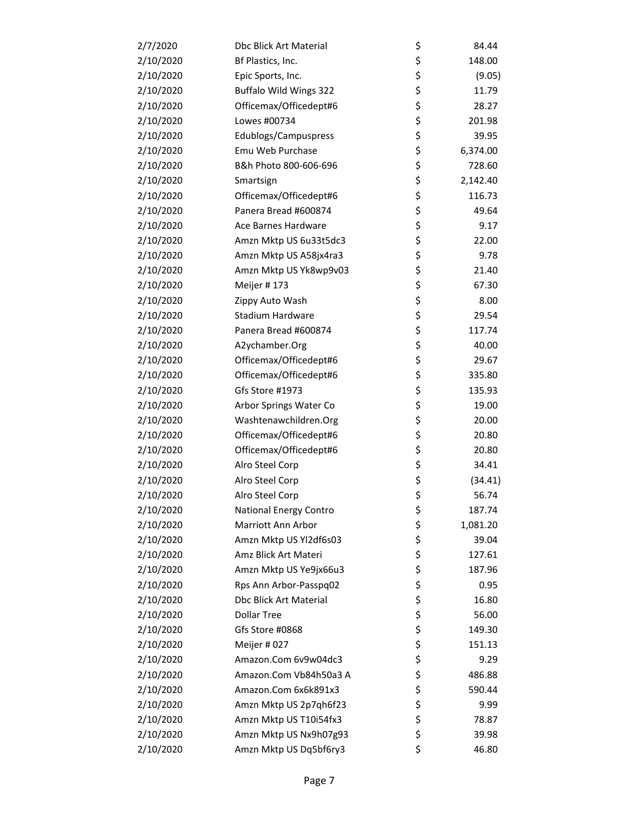| 2/7/2020  | Dbc Blick Art Material        | \$ | 84.44    |
|-----------|-------------------------------|----|----------|
| 2/10/2020 | Bf Plastics, Inc.             | \$ | 148.00   |
| 2/10/2020 | Epic Sports, Inc.             | \$ | (9.05)   |
| 2/10/2020 | Buffalo Wild Wings 322        | \$ | 11.79    |
| 2/10/2020 | Officemax/Officedept#6        | \$ | 28.27    |
| 2/10/2020 | Lowes #00734                  | \$ | 201.98   |
| 2/10/2020 | Edublogs/Campuspress          | \$ | 39.95    |
| 2/10/2020 | Emu Web Purchase              | \$ | 6,374.00 |
| 2/10/2020 | B&h Photo 800-606-696         | \$ | 728.60   |
| 2/10/2020 | Smartsign                     | \$ | 2,142.40 |
| 2/10/2020 | Officemax/Officedept#6        | \$ | 116.73   |
| 2/10/2020 | Panera Bread #600874          | \$ | 49.64    |
| 2/10/2020 | Ace Barnes Hardware           | \$ | 9.17     |
| 2/10/2020 | Amzn Mktp US 6u33t5dc3        | \$ | 22.00    |
| 2/10/2020 | Amzn Mktp US A58jx4ra3        | \$ | 9.78     |
| 2/10/2020 | Amzn Mktp US Yk8wp9v03        | \$ | 21.40    |
| 2/10/2020 | Meijer #173                   | \$ | 67.30    |
| 2/10/2020 | Zippy Auto Wash               | \$ | 8.00     |
| 2/10/2020 | Stadium Hardware              | \$ | 29.54    |
| 2/10/2020 | Panera Bread #600874          | \$ | 117.74   |
| 2/10/2020 | A2ychamber.Org                | \$ | 40.00    |
| 2/10/2020 | Officemax/Officedept#6        | \$ | 29.67    |
| 2/10/2020 | Officemax/Officedept#6        | \$ | 335.80   |
| 2/10/2020 | Gfs Store #1973               | \$ | 135.93   |
| 2/10/2020 | Arbor Springs Water Co        | \$ | 19.00    |
| 2/10/2020 | Washtenawchildren.Org         | \$ | 20.00    |
| 2/10/2020 | Officemax/Officedept#6        | \$ | 20.80    |
| 2/10/2020 | Officemax/Officedept#6        | \$ | 20.80    |
| 2/10/2020 | Alro Steel Corp               | \$ | 34.41    |
| 2/10/2020 | Alro Steel Corp               | \$ | (34.41)  |
| 2/10/2020 | Alro Steel Corp               | \$ | 56.74    |
| 2/10/2020 | <b>National Energy Contro</b> | Ç  | 187.74   |
| 2/10/2020 | Marriott Ann Arbor            | \$ | 1,081.20 |
| 2/10/2020 | Amzn Mktp US Yl2df6s03        | \$ | 39.04    |
| 2/10/2020 | Amz Blick Art Materi          | \$ | 127.61   |
| 2/10/2020 | Amzn Mktp US Ye9jx66u3        | \$ | 187.96   |
| 2/10/2020 | Rps Ann Arbor-Passpq02        | \$ | 0.95     |
| 2/10/2020 | Dbc Blick Art Material        | \$ | 16.80    |
| 2/10/2020 | <b>Dollar Tree</b>            | \$ | 56.00    |
| 2/10/2020 | Gfs Store #0868               | \$ | 149.30   |
| 2/10/2020 | Meijer #027                   | \$ | 151.13   |
| 2/10/2020 | Amazon.Com 6v9w04dc3          | \$ | 9.29     |
| 2/10/2020 | Amazon.Com Vb84h50a3 A        | \$ | 486.88   |
| 2/10/2020 | Amazon.Com 6x6k891x3          | \$ | 590.44   |
| 2/10/2020 | Amzn Mktp US 2p7qh6f23        | \$ | 9.99     |
| 2/10/2020 | Amzn Mktp US T10i54fx3        | \$ | 78.87    |
| 2/10/2020 | Amzn Mktp US Nx9h07g93        | \$ | 39.98    |
| 2/10/2020 | Amzn Mktp US Dq5bf6ry3        | \$ | 46.80    |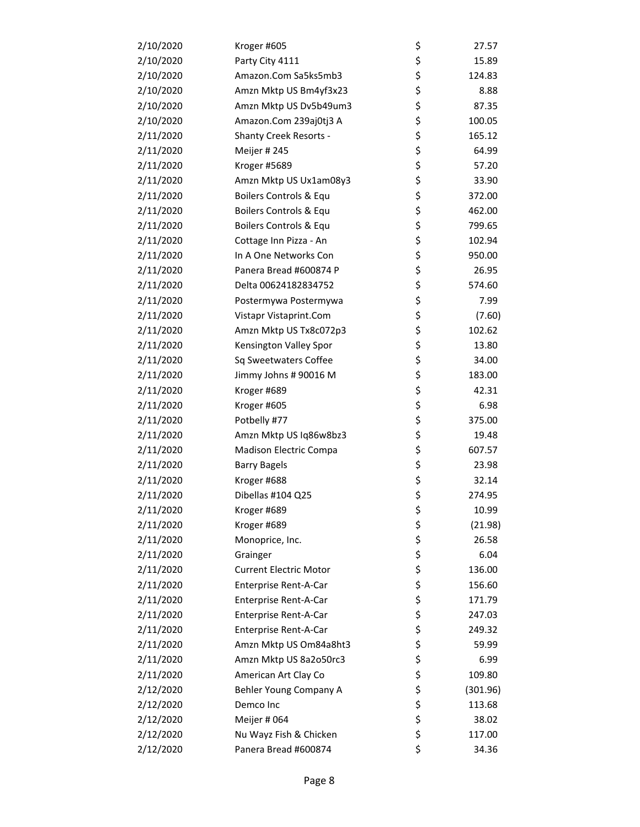| 2/10/2020 | Kroger #605                   | \$<br>27.57    |
|-----------|-------------------------------|----------------|
| 2/10/2020 | Party City 4111               | \$<br>15.89    |
| 2/10/2020 | Amazon.Com Sa5ks5mb3          | \$<br>124.83   |
| 2/10/2020 | Amzn Mktp US Bm4yf3x23        | \$<br>8.88     |
| 2/10/2020 | Amzn Mktp US Dv5b49um3        | \$<br>87.35    |
| 2/10/2020 | Amazon.Com 239aj0tj3 A        | \$<br>100.05   |
| 2/11/2020 | <b>Shanty Creek Resorts -</b> | \$<br>165.12   |
| 2/11/2020 | Meijer #245                   | \$<br>64.99    |
| 2/11/2020 | Kroger #5689                  | \$<br>57.20    |
| 2/11/2020 | Amzn Mktp US Ux1am08y3        | \$<br>33.90    |
| 2/11/2020 | Boilers Controls & Equ        | \$<br>372.00   |
| 2/11/2020 | Boilers Controls & Equ        | \$<br>462.00   |
| 2/11/2020 | Boilers Controls & Equ        | \$<br>799.65   |
| 2/11/2020 | Cottage Inn Pizza - An        | \$<br>102.94   |
| 2/11/2020 | In A One Networks Con         | \$<br>950.00   |
| 2/11/2020 | Panera Bread #600874 P        | \$<br>26.95    |
| 2/11/2020 | Delta 00624182834752          | \$<br>574.60   |
| 2/11/2020 | Postermywa Postermywa         | \$<br>7.99     |
| 2/11/2020 | Vistapr Vistaprint.Com        | \$<br>(7.60)   |
| 2/11/2020 | Amzn Mktp US Tx8c072p3        | \$<br>102.62   |
| 2/11/2020 | Kensington Valley Spor        | \$<br>13.80    |
| 2/11/2020 | Sq Sweetwaters Coffee         | \$<br>34.00    |
| 2/11/2020 | Jimmy Johns # 90016 M         | \$<br>183.00   |
| 2/11/2020 | Kroger #689                   | \$<br>42.31    |
| 2/11/2020 | Kroger #605                   | \$<br>6.98     |
| 2/11/2020 | Potbelly #77                  | \$<br>375.00   |
| 2/11/2020 | Amzn Mktp US Iq86w8bz3        | \$<br>19.48    |
| 2/11/2020 | Madison Electric Compa        | \$<br>607.57   |
| 2/11/2020 | <b>Barry Bagels</b>           | \$<br>23.98    |
| 2/11/2020 | Kroger #688                   | \$<br>32.14    |
| 2/11/2020 | Dibellas #104 Q25             | \$<br>274.95   |
| 2/11/2020 | Kroger #689                   | \$<br>10.99    |
| 2/11/2020 | Kroger #689                   | \$<br>(21.98)  |
| 2/11/2020 | Monoprice, Inc.               | \$<br>26.58    |
| 2/11/2020 | Grainger                      | \$<br>6.04     |
| 2/11/2020 | <b>Current Electric Motor</b> | \$<br>136.00   |
| 2/11/2020 | Enterprise Rent-A-Car         | \$<br>156.60   |
| 2/11/2020 | Enterprise Rent-A-Car         | \$<br>171.79   |
| 2/11/2020 | Enterprise Rent-A-Car         | \$<br>247.03   |
| 2/11/2020 | Enterprise Rent-A-Car         | \$<br>249.32   |
| 2/11/2020 | Amzn Mktp US Om84a8ht3        | \$<br>59.99    |
| 2/11/2020 | Amzn Mktp US 8a2o50rc3        | \$<br>6.99     |
| 2/11/2020 | American Art Clay Co          | \$<br>109.80   |
| 2/12/2020 | Behler Young Company A        | \$<br>(301.96) |
| 2/12/2020 | Demco Inc                     | \$<br>113.68   |
| 2/12/2020 | Meijer # 064                  | \$<br>38.02    |
| 2/12/2020 | Nu Wayz Fish & Chicken        | \$<br>117.00   |
| 2/12/2020 | Panera Bread #600874          | \$<br>34.36    |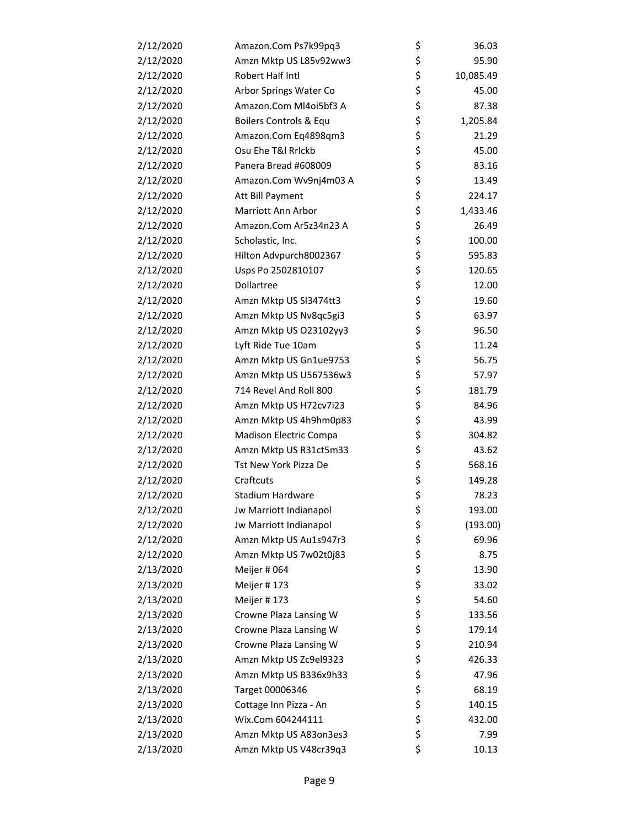| 2/12/2020 | Amazon.Com Ps7k99pq3   | \$<br>36.03     |
|-----------|------------------------|-----------------|
| 2/12/2020 | Amzn Mktp US L85v92ww3 | \$<br>95.90     |
| 2/12/2020 | Robert Half Intl       | \$<br>10,085.49 |
| 2/12/2020 | Arbor Springs Water Co | \$<br>45.00     |
| 2/12/2020 | Amazon.Com MI4oi5bf3 A | \$<br>87.38     |
| 2/12/2020 | Boilers Controls & Equ | \$<br>1,205.84  |
| 2/12/2020 | Amazon.Com Eq4898qm3   | \$<br>21.29     |
| 2/12/2020 | Osu Ehe T&I Rrlckb     | \$<br>45.00     |
| 2/12/2020 | Panera Bread #608009   | \$<br>83.16     |
| 2/12/2020 | Amazon.Com Wv9nj4m03 A | \$<br>13.49     |
| 2/12/2020 | Att Bill Payment       | \$<br>224.17    |
| 2/12/2020 | Marriott Ann Arbor     | \$<br>1,433.46  |
| 2/12/2020 | Amazon.Com Ar5z34n23 A | \$<br>26.49     |
| 2/12/2020 | Scholastic, Inc.       | \$<br>100.00    |
| 2/12/2020 | Hilton Advpurch8002367 | \$<br>595.83    |
| 2/12/2020 | Usps Po 2502810107     | \$<br>120.65    |
| 2/12/2020 | Dollartree             | \$<br>12.00     |
| 2/12/2020 | Amzn Mktp US SI3474tt3 | \$<br>19.60     |
| 2/12/2020 | Amzn Mktp US Nv8qc5gi3 | \$<br>63.97     |
| 2/12/2020 | Amzn Mktp US 023102yy3 | \$<br>96.50     |
| 2/12/2020 | Lyft Ride Tue 10am     | \$<br>11.24     |
| 2/12/2020 | Amzn Mktp US Gn1ue9753 | \$<br>56.75     |
| 2/12/2020 | Amzn Mktp US U567536w3 | \$<br>57.97     |
| 2/12/2020 | 714 Revel And Roll 800 | \$<br>181.79    |
| 2/12/2020 | Amzn Mktp US H72cv7i23 | \$<br>84.96     |
| 2/12/2020 | Amzn Mktp US 4h9hm0p83 | \$<br>43.99     |
| 2/12/2020 | Madison Electric Compa | \$<br>304.82    |
| 2/12/2020 | Amzn Mktp US R31ct5m33 | \$<br>43.62     |
| 2/12/2020 | Tst New York Pizza De  | \$<br>568.16    |
| 2/12/2020 | Craftcuts              | \$<br>149.28    |
| 2/12/2020 | Stadium Hardware       | \$<br>78.23     |
| 2/12/2020 | Jw Marriott Indianapol | \$<br>193.00    |
| 2/12/2020 | Jw Marriott Indianapol | \$<br>(193.00)  |
| 2/12/2020 | Amzn Mktp US Au1s947r3 | \$<br>69.96     |
| 2/12/2020 | Amzn Mktp US 7w02t0j83 | \$<br>8.75      |
| 2/13/2020 | Meijer # 064           | \$<br>13.90     |
| 2/13/2020 | Meijer #173            | \$<br>33.02     |
| 2/13/2020 | Meijer #173            | \$<br>54.60     |
| 2/13/2020 | Crowne Plaza Lansing W | \$<br>133.56    |
| 2/13/2020 | Crowne Plaza Lansing W | \$<br>179.14    |
| 2/13/2020 | Crowne Plaza Lansing W | \$<br>210.94    |
| 2/13/2020 | Amzn Mktp US Zc9el9323 | \$<br>426.33    |
| 2/13/2020 | Amzn Mktp US B336x9h33 | \$<br>47.96     |
| 2/13/2020 | Target 00006346        | \$<br>68.19     |
| 2/13/2020 | Cottage Inn Pizza - An | \$<br>140.15    |
| 2/13/2020 | Wix.Com 604244111      | \$<br>432.00    |
| 2/13/2020 | Amzn Mktp US A83on3es3 | \$<br>7.99      |
| 2/13/2020 | Amzn Mktp US V48cr39q3 | \$<br>10.13     |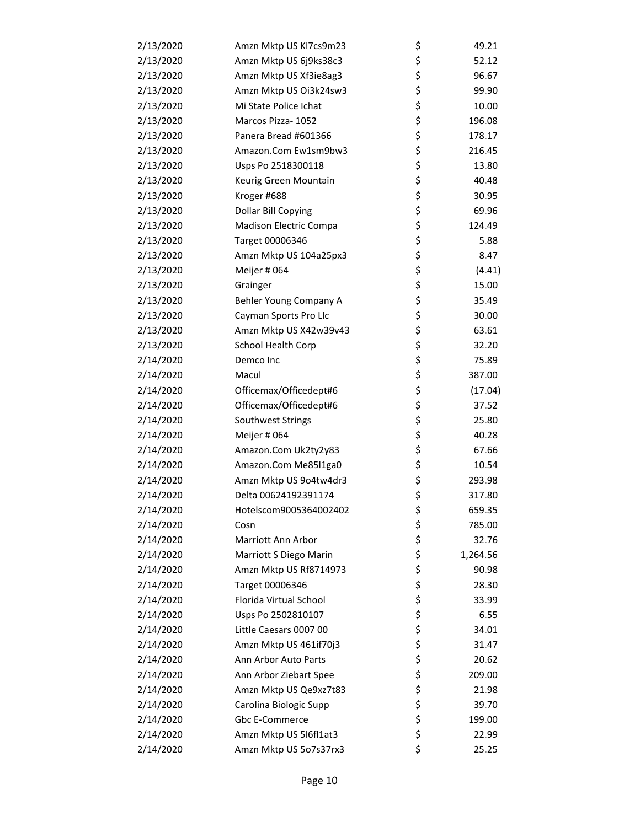| 2/13/2020 | Amzn Mktp US Kl7cs9m23 | \$<br>49.21    |
|-----------|------------------------|----------------|
| 2/13/2020 | Amzn Mktp US 6j9ks38c3 | \$<br>52.12    |
| 2/13/2020 | Amzn Mktp US Xf3ie8ag3 | \$<br>96.67    |
| 2/13/2020 | Amzn Mktp US Oi3k24sw3 | \$<br>99.90    |
| 2/13/2020 | Mi State Police Ichat  | \$<br>10.00    |
| 2/13/2020 | Marcos Pizza- 1052     | \$<br>196.08   |
| 2/13/2020 | Panera Bread #601366   | \$<br>178.17   |
| 2/13/2020 | Amazon.Com Ew1sm9bw3   | \$<br>216.45   |
| 2/13/2020 | Usps Po 2518300118     | \$<br>13.80    |
| 2/13/2020 | Keurig Green Mountain  | \$<br>40.48    |
| 2/13/2020 | Kroger #688            | \$<br>30.95    |
| 2/13/2020 | Dollar Bill Copying    | \$<br>69.96    |
| 2/13/2020 | Madison Electric Compa | \$<br>124.49   |
| 2/13/2020 | Target 00006346        | \$<br>5.88     |
| 2/13/2020 | Amzn Mktp US 104a25px3 | \$<br>8.47     |
| 2/13/2020 | Meijer # 064           | \$<br>(4.41)   |
| 2/13/2020 | Grainger               | \$<br>15.00    |
| 2/13/2020 | Behler Young Company A | \$<br>35.49    |
| 2/13/2020 | Cayman Sports Pro Llc  | \$<br>30.00    |
| 2/13/2020 | Amzn Mktp US X42w39v43 | \$<br>63.61    |
| 2/13/2020 | School Health Corp     | \$<br>32.20    |
| 2/14/2020 | Demco Inc              | \$<br>75.89    |
| 2/14/2020 | Macul                  | \$<br>387.00   |
| 2/14/2020 | Officemax/Officedept#6 | \$<br>(17.04)  |
| 2/14/2020 | Officemax/Officedept#6 | \$<br>37.52    |
| 2/14/2020 | Southwest Strings      | \$<br>25.80    |
| 2/14/2020 | Meijer # 064           | \$<br>40.28    |
| 2/14/2020 | Amazon.Com Uk2ty2y83   | \$<br>67.66    |
| 2/14/2020 | Amazon.Com Me85l1ga0   | \$<br>10.54    |
| 2/14/2020 | Amzn Mktp US 9o4tw4dr3 | \$<br>293.98   |
| 2/14/2020 | Delta 00624192391174   | \$<br>317.80   |
| 2/14/2020 | Hotelscom9005364002402 | \$<br>659.35   |
| 2/14/2020 | Cosn                   | \$<br>785.00   |
| 2/14/2020 | Marriott Ann Arbor     | \$<br>32.76    |
| 2/14/2020 | Marriott S Diego Marin | \$<br>1,264.56 |
| 2/14/2020 | Amzn Mktp US Rf8714973 | \$<br>90.98    |
| 2/14/2020 | Target 00006346        | \$<br>28.30    |
| 2/14/2020 | Florida Virtual School | \$<br>33.99    |
| 2/14/2020 | Usps Po 2502810107     | \$<br>6.55     |
| 2/14/2020 | Little Caesars 0007 00 | \$<br>34.01    |
| 2/14/2020 | Amzn Mktp US 461if70j3 | \$<br>31.47    |
| 2/14/2020 | Ann Arbor Auto Parts   | \$<br>20.62    |
| 2/14/2020 | Ann Arbor Ziebart Spee | \$<br>209.00   |
| 2/14/2020 | Amzn Mktp US Qe9xz7t83 | \$<br>21.98    |
| 2/14/2020 | Carolina Biologic Supp | \$<br>39.70    |
| 2/14/2020 | Gbc E-Commerce         | \$<br>199.00   |
| 2/14/2020 | Amzn Mktp US 516fl1at3 | \$<br>22.99    |
| 2/14/2020 | Amzn Mktp US 5o7s37rx3 | \$<br>25.25    |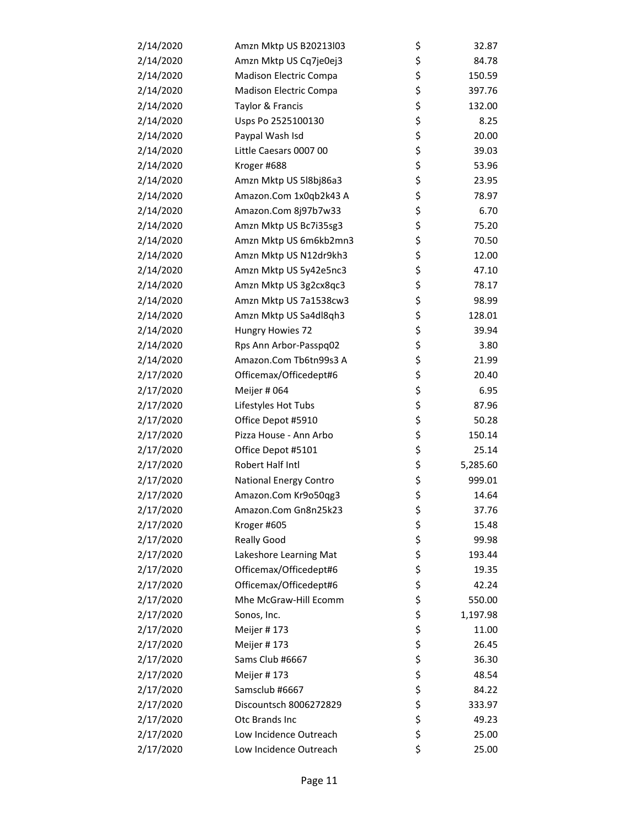| 2/14/2020 | Amzn Mktp US B20213l03        | \$<br>32.87    |
|-----------|-------------------------------|----------------|
| 2/14/2020 | Amzn Mktp US Cq7je0ej3        | \$<br>84.78    |
| 2/14/2020 | <b>Madison Electric Compa</b> | \$<br>150.59   |
| 2/14/2020 | Madison Electric Compa        | \$<br>397.76   |
| 2/14/2020 | Taylor & Francis              | \$<br>132.00   |
| 2/14/2020 | Usps Po 2525100130            | \$<br>8.25     |
| 2/14/2020 | Paypal Wash Isd               | \$<br>20.00    |
| 2/14/2020 | Little Caesars 0007 00        | \$<br>39.03    |
| 2/14/2020 | Kroger #688                   | \$<br>53.96    |
| 2/14/2020 | Amzn Mktp US 5l8bj86a3        | \$<br>23.95    |
| 2/14/2020 | Amazon.Com 1x0qb2k43 A        | \$<br>78.97    |
| 2/14/2020 | Amazon.Com 8j97b7w33          | \$<br>6.70     |
| 2/14/2020 | Amzn Mktp US Bc7i35sg3        | \$<br>75.20    |
| 2/14/2020 | Amzn Mktp US 6m6kb2mn3        | \$<br>70.50    |
| 2/14/2020 | Amzn Mktp US N12dr9kh3        | \$<br>12.00    |
| 2/14/2020 | Amzn Mktp US 5y42e5nc3        | \$<br>47.10    |
| 2/14/2020 | Amzn Mktp US 3g2cx8qc3        | \$<br>78.17    |
| 2/14/2020 | Amzn Mktp US 7a1538cw3        | \$<br>98.99    |
| 2/14/2020 | Amzn Mktp US Sa4dl8qh3        | \$<br>128.01   |
| 2/14/2020 | Hungry Howies 72              | \$<br>39.94    |
| 2/14/2020 | Rps Ann Arbor-Passpq02        | \$<br>3.80     |
| 2/14/2020 | Amazon.Com Tb6tn99s3 A        | \$<br>21.99    |
| 2/17/2020 | Officemax/Officedept#6        | \$<br>20.40    |
| 2/17/2020 | Meijer # 064                  | \$<br>6.95     |
| 2/17/2020 | Lifestyles Hot Tubs           | \$<br>87.96    |
| 2/17/2020 | Office Depot #5910            | \$<br>50.28    |
| 2/17/2020 | Pizza House - Ann Arbo        | \$<br>150.14   |
| 2/17/2020 | Office Depot #5101            | \$<br>25.14    |
| 2/17/2020 | Robert Half Intl              | \$<br>5,285.60 |
| 2/17/2020 | National Energy Contro        | \$<br>999.01   |
| 2/17/2020 | Amazon.Com Kr9o50qg3          | \$<br>14.64    |
| 2/17/2020 | Amazon.Com Gn8n25k23          | \$<br>37.76    |
| 2/17/2020 | Kroger #605                   | \$<br>15.48    |
| 2/17/2020 | <b>Really Good</b>            | \$<br>99.98    |
| 2/17/2020 | Lakeshore Learning Mat        | \$<br>193.44   |
| 2/17/2020 | Officemax/Officedept#6        | \$<br>19.35    |
| 2/17/2020 | Officemax/Officedept#6        | \$<br>42.24    |
| 2/17/2020 | Mhe McGraw-Hill Ecomm         | \$<br>550.00   |
| 2/17/2020 | Sonos, Inc.                   | \$<br>1,197.98 |
| 2/17/2020 | Meijer #173                   | \$<br>11.00    |
| 2/17/2020 | Meijer #173                   | \$<br>26.45    |
| 2/17/2020 | Sams Club #6667               | \$<br>36.30    |
| 2/17/2020 | Meijer #173                   | \$<br>48.54    |
| 2/17/2020 | Samsclub #6667                | \$<br>84.22    |
| 2/17/2020 | Discountsch 8006272829        | \$<br>333.97   |
| 2/17/2020 | Otc Brands Inc                | \$<br>49.23    |
| 2/17/2020 | Low Incidence Outreach        | \$<br>25.00    |
| 2/17/2020 | Low Incidence Outreach        | \$<br>25.00    |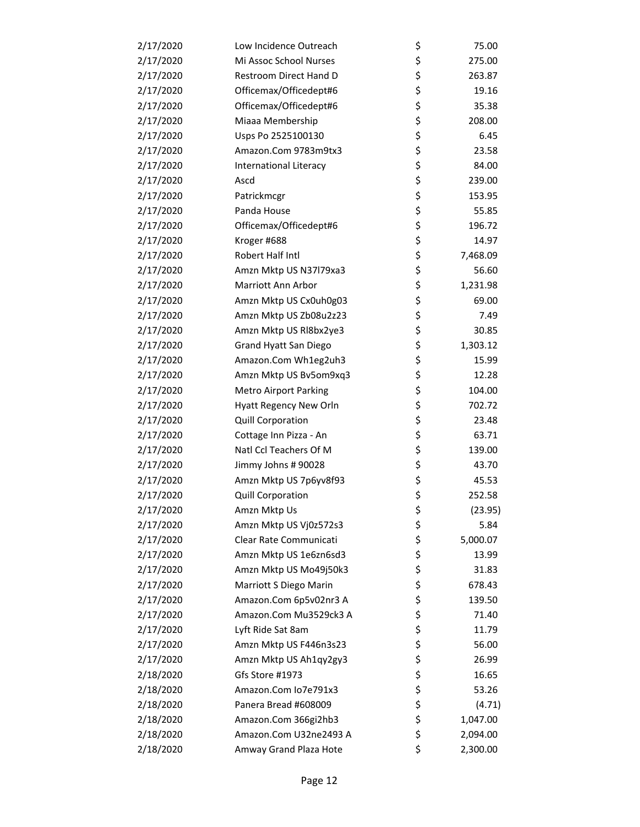| 2/17/2020 | Low Incidence Outreach       | \$<br>75.00    |
|-----------|------------------------------|----------------|
| 2/17/2020 | Mi Assoc School Nurses       | \$<br>275.00   |
| 2/17/2020 | Restroom Direct Hand D       | \$<br>263.87   |
| 2/17/2020 | Officemax/Officedept#6       | \$<br>19.16    |
| 2/17/2020 | Officemax/Officedept#6       | \$<br>35.38    |
| 2/17/2020 | Miaaa Membership             | \$<br>208.00   |
| 2/17/2020 | Usps Po 2525100130           | \$<br>6.45     |
| 2/17/2020 | Amazon.Com 9783m9tx3         | \$<br>23.58    |
| 2/17/2020 | International Literacy       | \$<br>84.00    |
| 2/17/2020 | Ascd                         | \$<br>239.00   |
| 2/17/2020 | Patrickmcgr                  | \$<br>153.95   |
| 2/17/2020 | Panda House                  | \$<br>55.85    |
| 2/17/2020 | Officemax/Officedept#6       | \$<br>196.72   |
| 2/17/2020 | Kroger #688                  | \$<br>14.97    |
| 2/17/2020 | Robert Half Intl             | \$<br>7,468.09 |
| 2/17/2020 | Amzn Mktp US N37l79xa3       | \$<br>56.60    |
| 2/17/2020 | Marriott Ann Arbor           | \$<br>1,231.98 |
| 2/17/2020 | Amzn Mktp US Cx0uh0g03       | \$<br>69.00    |
| 2/17/2020 | Amzn Mktp US Zb08u2z23       | \$<br>7.49     |
| 2/17/2020 | Amzn Mktp US Rl8bx2ye3       | \$<br>30.85    |
| 2/17/2020 | Grand Hyatt San Diego        | \$<br>1,303.12 |
| 2/17/2020 | Amazon.Com Wh1eg2uh3         | \$<br>15.99    |
| 2/17/2020 | Amzn Mktp US Bv5om9xq3       | \$<br>12.28    |
| 2/17/2020 | <b>Metro Airport Parking</b> | \$<br>104.00   |
| 2/17/2020 | Hyatt Regency New Orln       | \$<br>702.72   |
| 2/17/2020 | <b>Quill Corporation</b>     | \$<br>23.48    |
| 2/17/2020 | Cottage Inn Pizza - An       | \$<br>63.71    |
| 2/17/2020 | Natl Ccl Teachers Of M       | \$<br>139.00   |
| 2/17/2020 | Jimmy Johns # 90028          | \$<br>43.70    |
| 2/17/2020 | Amzn Mktp US 7p6yv8f93       | \$<br>45.53    |
| 2/17/2020 | <b>Quill Corporation</b>     | \$<br>252.58   |
| 2/17/2020 | Amzn Mktp Us                 | \$<br>(23.95)  |
| 2/17/2020 | Amzn Mktp US Vj0z572s3       | \$<br>5.84     |
| 2/17/2020 | Clear Rate Communicati       | \$<br>5,000.07 |
| 2/17/2020 | Amzn Mktp US 1e6zn6sd3       | \$<br>13.99    |
| 2/17/2020 | Amzn Mktp US Mo49j50k3       | \$<br>31.83    |
| 2/17/2020 | Marriott S Diego Marin       | \$<br>678.43   |
| 2/17/2020 | Amazon.Com 6p5v02nr3 A       | \$<br>139.50   |
| 2/17/2020 | Amazon.Com Mu3529ck3 A       | \$<br>71.40    |
| 2/17/2020 | Lyft Ride Sat 8am            | \$<br>11.79    |
| 2/17/2020 | Amzn Mktp US F446n3s23       | \$<br>56.00    |
| 2/17/2020 | Amzn Mktp US Ah1qy2gy3       | \$<br>26.99    |
| 2/18/2020 | Gfs Store #1973              | \$<br>16.65    |
| 2/18/2020 | Amazon.Com Io7e791x3         | \$<br>53.26    |
| 2/18/2020 | Panera Bread #608009         | \$<br>(4.71)   |
| 2/18/2020 | Amazon.Com 366gi2hb3         | \$<br>1,047.00 |
| 2/18/2020 | Amazon.Com U32ne2493 A       | \$<br>2,094.00 |
| 2/18/2020 | Amway Grand Plaza Hote       | \$<br>2,300.00 |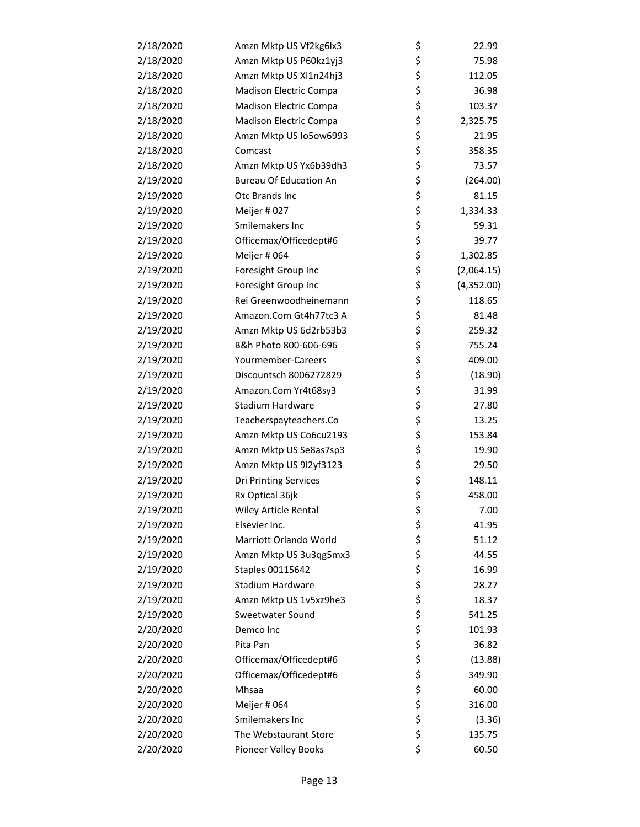| 2/18/2020 | Amzn Mktp US Vf2kg6lx3        | \$<br>22.99      |
|-----------|-------------------------------|------------------|
| 2/18/2020 | Amzn Mktp US P60kz1yj3        | \$<br>75.98      |
| 2/18/2020 | Amzn Mktp US Xl1n24hj3        | \$<br>112.05     |
| 2/18/2020 | Madison Electric Compa        | \$<br>36.98      |
| 2/18/2020 | Madison Electric Compa        | \$<br>103.37     |
| 2/18/2020 | Madison Electric Compa        | \$<br>2,325.75   |
| 2/18/2020 | Amzn Mktp US Io5ow6993        | \$<br>21.95      |
| 2/18/2020 | Comcast                       | \$<br>358.35     |
| 2/18/2020 | Amzn Mktp US Yx6b39dh3        | \$<br>73.57      |
| 2/19/2020 | <b>Bureau Of Education An</b> | \$<br>(264.00)   |
| 2/19/2020 | Otc Brands Inc                | \$<br>81.15      |
| 2/19/2020 | Meijer #027                   | \$<br>1,334.33   |
| 2/19/2020 | Smilemakers Inc               | \$<br>59.31      |
| 2/19/2020 | Officemax/Officedept#6        | \$<br>39.77      |
| 2/19/2020 | Meijer # 064                  | \$<br>1,302.85   |
| 2/19/2020 | Foresight Group Inc           | \$<br>(2,064.15) |
| 2/19/2020 | Foresight Group Inc           | \$<br>(4,352.00) |
| 2/19/2020 | Rei Greenwoodheinemann        | \$<br>118.65     |
| 2/19/2020 | Amazon.Com Gt4h77tc3 A        | \$<br>81.48      |
| 2/19/2020 | Amzn Mktp US 6d2rb53b3        | \$<br>259.32     |
| 2/19/2020 | B&h Photo 800-606-696         | \$<br>755.24     |
| 2/19/2020 | Yourmember-Careers            | \$<br>409.00     |
| 2/19/2020 | Discountsch 8006272829        | \$<br>(18.90)    |
| 2/19/2020 | Amazon.Com Yr4t68sy3          | \$<br>31.99      |
| 2/19/2020 | Stadium Hardware              | \$<br>27.80      |
| 2/19/2020 | Teacherspayteachers.Co        | \$<br>13.25      |
| 2/19/2020 | Amzn Mktp US Co6cu2193        | \$<br>153.84     |
| 2/19/2020 | Amzn Mktp US Se8as7sp3        | \$<br>19.90      |
| 2/19/2020 | Amzn Mktp US 9l2yf3123        | \$<br>29.50      |
| 2/19/2020 | <b>Dri Printing Services</b>  | \$<br>148.11     |
| 2/19/2020 | Rx Optical 36jk               | \$<br>458.00     |
| 2/19/2020 | Wiley Article Rental          | \$<br>7.00       |
| 2/19/2020 | Elsevier Inc.                 | \$<br>41.95      |
| 2/19/2020 | Marriott Orlando World        | \$<br>51.12      |
| 2/19/2020 | Amzn Mktp US 3u3qg5mx3        | \$<br>44.55      |
| 2/19/2020 | Staples 00115642              | \$<br>16.99      |
| 2/19/2020 | Stadium Hardware              | \$<br>28.27      |
| 2/19/2020 | Amzn Mktp US 1v5xz9he3        | \$<br>18.37      |
| 2/19/2020 | Sweetwater Sound              | \$<br>541.25     |
| 2/20/2020 | Demco Inc                     | \$<br>101.93     |
| 2/20/2020 | Pita Pan                      | \$<br>36.82      |
| 2/20/2020 | Officemax/Officedept#6        | \$<br>(13.88)    |
| 2/20/2020 | Officemax/Officedept#6        | \$<br>349.90     |
| 2/20/2020 | Mhsaa                         | \$<br>60.00      |
| 2/20/2020 | Meijer # 064                  | \$<br>316.00     |
| 2/20/2020 | Smilemakers Inc               | \$<br>(3.36)     |
| 2/20/2020 | The Webstaurant Store         | \$<br>135.75     |
| 2/20/2020 | Pioneer Valley Books          | \$<br>60.50      |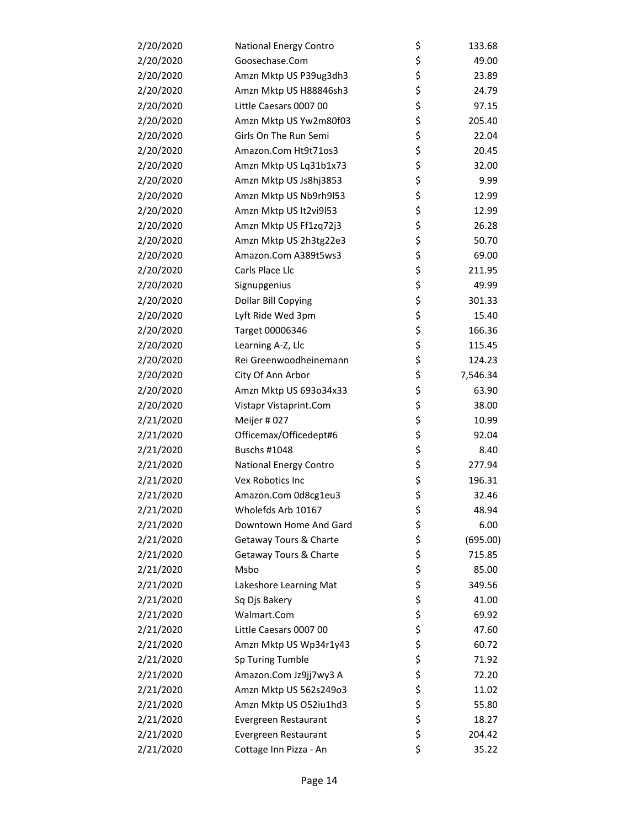| 2/20/2020 | National Energy Contro | \$<br>133.68   |
|-----------|------------------------|----------------|
| 2/20/2020 | Goosechase.Com         | \$<br>49.00    |
| 2/20/2020 | Amzn Mktp US P39ug3dh3 | \$<br>23.89    |
| 2/20/2020 | Amzn Mktp US H88846sh3 | \$<br>24.79    |
| 2/20/2020 | Little Caesars 0007 00 | \$<br>97.15    |
| 2/20/2020 | Amzn Mktp US Yw2m80f03 | \$<br>205.40   |
| 2/20/2020 | Girls On The Run Semi  | \$<br>22.04    |
| 2/20/2020 | Amazon.Com Ht9t71os3   | \$<br>20.45    |
| 2/20/2020 | Amzn Mktp US Lq31b1x73 | \$<br>32.00    |
| 2/20/2020 | Amzn Mktp US Js8hj3853 | \$<br>9.99     |
| 2/20/2020 | Amzn Mktp US Nb9rh9l53 | \$<br>12.99    |
| 2/20/2020 | Amzn Mktp US It2vi9l53 | \$<br>12.99    |
| 2/20/2020 | Amzn Mktp US Ff1zq72j3 | \$<br>26.28    |
| 2/20/2020 | Amzn Mktp US 2h3tg22e3 | \$<br>50.70    |
| 2/20/2020 | Amazon.Com A389t5ws3   | \$<br>69.00    |
| 2/20/2020 | Carls Place Llc        | \$<br>211.95   |
| 2/20/2020 | Signupgenius           | \$<br>49.99    |
| 2/20/2020 | Dollar Bill Copying    | \$<br>301.33   |
| 2/20/2020 | Lyft Ride Wed 3pm      | \$<br>15.40    |
| 2/20/2020 | Target 00006346        | \$<br>166.36   |
| 2/20/2020 | Learning A-Z, Llc      | \$<br>115.45   |
| 2/20/2020 | Rei Greenwoodheinemann | \$<br>124.23   |
| 2/20/2020 | City Of Ann Arbor      | \$<br>7,546.34 |
| 2/20/2020 | Amzn Mktp US 693o34x33 | \$<br>63.90    |
| 2/20/2020 | Vistapr Vistaprint.Com | \$<br>38.00    |
| 2/21/2020 | Meijer #027            | \$<br>10.99    |
| 2/21/2020 | Officemax/Officedept#6 | \$<br>92.04    |
| 2/21/2020 | <b>Buschs #1048</b>    | \$<br>8.40     |
| 2/21/2020 | National Energy Contro | \$<br>277.94   |
| 2/21/2020 | Vex Robotics Inc       | \$<br>196.31   |
| 2/21/2020 | Amazon.Com 0d8cg1eu3   | \$<br>32.46    |
| 2/21/2020 | Wholefds Arb 10167     | \$<br>48.94    |
| 2/21/2020 | Downtown Home And Gard | \$<br>6.00     |
| 2/21/2020 | Getaway Tours & Charte | \$<br>(695.00) |
| 2/21/2020 | Getaway Tours & Charte | \$<br>715.85   |
| 2/21/2020 | Msbo                   | \$<br>85.00    |
| 2/21/2020 | Lakeshore Learning Mat | \$<br>349.56   |
| 2/21/2020 | Sq Djs Bakery          | \$<br>41.00    |
| 2/21/2020 | Walmart.Com            | \$<br>69.92    |
| 2/21/2020 | Little Caesars 0007 00 | \$<br>47.60    |
| 2/21/2020 | Amzn Mktp US Wp34r1y43 | \$<br>60.72    |
| 2/21/2020 | Sp Turing Tumble       | \$<br>71.92    |
| 2/21/2020 | Amazon.Com Jz9jj7wy3 A | \$<br>72.20    |
| 2/21/2020 | Amzn Mktp US 562s249o3 | \$<br>11.02    |
| 2/21/2020 | Amzn Mktp US O52iu1hd3 | \$<br>55.80    |
| 2/21/2020 | Evergreen Restaurant   | \$<br>18.27    |
| 2/21/2020 | Evergreen Restaurant   | \$<br>204.42   |
| 2/21/2020 | Cottage Inn Pizza - An | \$<br>35.22    |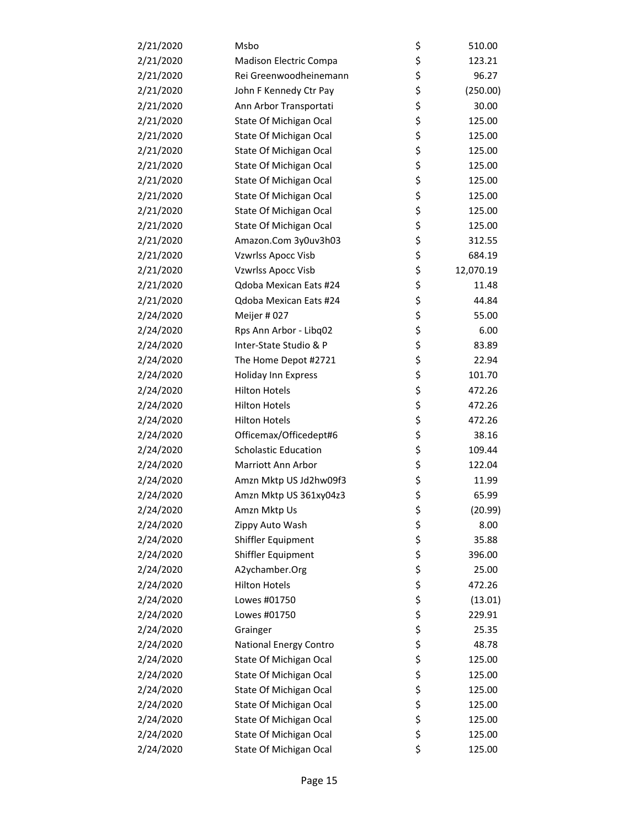| 2/21/2020 | Msbo                        | \$ | 510.00    |
|-----------|-----------------------------|----|-----------|
| 2/21/2020 | Madison Electric Compa      | \$ | 123.21    |
| 2/21/2020 | Rei Greenwoodheinemann      | \$ | 96.27     |
| 2/21/2020 | John F Kennedy Ctr Pay      | \$ | (250.00)  |
| 2/21/2020 | Ann Arbor Transportati      | \$ | 30.00     |
| 2/21/2020 | State Of Michigan Ocal      | \$ | 125.00    |
| 2/21/2020 | State Of Michigan Ocal      | \$ | 125.00    |
| 2/21/2020 | State Of Michigan Ocal      | \$ | 125.00    |
| 2/21/2020 | State Of Michigan Ocal      | \$ | 125.00    |
| 2/21/2020 | State Of Michigan Ocal      | \$ | 125.00    |
| 2/21/2020 | State Of Michigan Ocal      | \$ | 125.00    |
| 2/21/2020 | State Of Michigan Ocal      | \$ | 125.00    |
| 2/21/2020 | State Of Michigan Ocal      | \$ | 125.00    |
| 2/21/2020 | Amazon.Com 3y0uv3h03        | \$ | 312.55    |
| 2/21/2020 | <b>Vzwrlss Apocc Visb</b>   | \$ | 684.19    |
| 2/21/2020 | Vzwrlss Apocc Visb          | \$ | 12,070.19 |
| 2/21/2020 | Qdoba Mexican Eats #24      | \$ | 11.48     |
| 2/21/2020 | Qdoba Mexican Eats #24      | \$ | 44.84     |
| 2/24/2020 | Meijer #027                 | \$ | 55.00     |
| 2/24/2020 | Rps Ann Arbor - Libq02      | \$ | 6.00      |
| 2/24/2020 | Inter-State Studio & P      | \$ | 83.89     |
| 2/24/2020 | The Home Depot #2721        | \$ | 22.94     |
| 2/24/2020 | Holiday Inn Express         | \$ | 101.70    |
| 2/24/2020 | <b>Hilton Hotels</b>        | \$ | 472.26    |
| 2/24/2020 | <b>Hilton Hotels</b>        | \$ | 472.26    |
| 2/24/2020 | <b>Hilton Hotels</b>        | \$ | 472.26    |
| 2/24/2020 | Officemax/Officedept#6      | \$ | 38.16     |
| 2/24/2020 | <b>Scholastic Education</b> | \$ | 109.44    |
| 2/24/2020 | Marriott Ann Arbor          | \$ | 122.04    |
| 2/24/2020 | Amzn Mktp US Jd2hw09f3      | \$ | 11.99     |
| 2/24/2020 | Amzn Mktp US 361xy04z3      | \$ | 65.99     |
| 2/24/2020 | Amzn Mktp Us                | Ş  | (20.99)   |
| 2/24/2020 | Zippy Auto Wash             | \$ | 8.00      |
| 2/24/2020 | Shiffler Equipment          | \$ | 35.88     |
| 2/24/2020 | Shiffler Equipment          | \$ | 396.00    |
| 2/24/2020 | A2ychamber.Org              | \$ | 25.00     |
| 2/24/2020 | <b>Hilton Hotels</b>        | \$ | 472.26    |
| 2/24/2020 | Lowes #01750                | \$ | (13.01)   |
| 2/24/2020 | Lowes #01750                | \$ | 229.91    |
| 2/24/2020 | Grainger                    | \$ | 25.35     |
| 2/24/2020 | National Energy Contro      | \$ | 48.78     |
| 2/24/2020 | State Of Michigan Ocal      | \$ | 125.00    |
| 2/24/2020 | State Of Michigan Ocal      | \$ | 125.00    |
| 2/24/2020 | State Of Michigan Ocal      | \$ | 125.00    |
| 2/24/2020 | State Of Michigan Ocal      | \$ | 125.00    |
| 2/24/2020 | State Of Michigan Ocal      | \$ | 125.00    |
| 2/24/2020 | State Of Michigan Ocal      | \$ | 125.00    |
| 2/24/2020 | State Of Michigan Ocal      | \$ | 125.00    |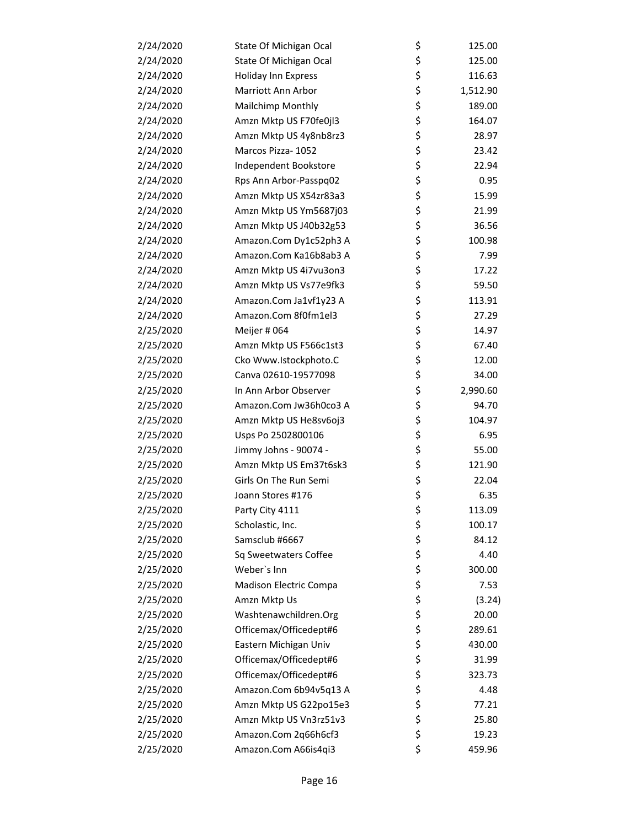| 2/24/2020 | State Of Michigan Ocal | \$<br>125.00   |
|-----------|------------------------|----------------|
| 2/24/2020 | State Of Michigan Ocal | \$<br>125.00   |
| 2/24/2020 | Holiday Inn Express    | \$<br>116.63   |
| 2/24/2020 | Marriott Ann Arbor     | \$<br>1,512.90 |
| 2/24/2020 | Mailchimp Monthly      | \$<br>189.00   |
| 2/24/2020 | Amzn Mktp US F70fe0jl3 | \$<br>164.07   |
| 2/24/2020 | Amzn Mktp US 4y8nb8rz3 | \$<br>28.97    |
| 2/24/2020 | Marcos Pizza- 1052     | \$<br>23.42    |
| 2/24/2020 | Independent Bookstore  | \$<br>22.94    |
| 2/24/2020 | Rps Ann Arbor-Passpq02 | \$<br>0.95     |
| 2/24/2020 | Amzn Mktp US X54zr83a3 | \$<br>15.99    |
| 2/24/2020 | Amzn Mktp US Ym5687j03 | \$<br>21.99    |
| 2/24/2020 | Amzn Mktp US J40b32g53 | \$<br>36.56    |
| 2/24/2020 | Amazon.Com Dy1c52ph3 A | \$<br>100.98   |
| 2/24/2020 | Amazon.Com Ka16b8ab3 A | \$<br>7.99     |
| 2/24/2020 | Amzn Mktp US 4i7vu3on3 | \$<br>17.22    |
| 2/24/2020 | Amzn Mktp US Vs77e9fk3 | \$<br>59.50    |
| 2/24/2020 | Amazon.Com Ja1vf1y23 A | \$<br>113.91   |
| 2/24/2020 | Amazon.Com 8f0fm1el3   | \$<br>27.29    |
| 2/25/2020 | Meijer # 064           | \$<br>14.97    |
| 2/25/2020 | Amzn Mktp US F566c1st3 | \$<br>67.40    |
| 2/25/2020 | Cko Www.Istockphoto.C  | \$<br>12.00    |
| 2/25/2020 | Canva 02610-19577098   | \$<br>34.00    |
| 2/25/2020 | In Ann Arbor Observer  | \$<br>2,990.60 |
| 2/25/2020 | Amazon.Com Jw36h0co3 A | \$<br>94.70    |
| 2/25/2020 | Amzn Mktp US He8sv6oj3 | \$<br>104.97   |
| 2/25/2020 | Usps Po 2502800106     | \$<br>6.95     |
| 2/25/2020 | Jimmy Johns - 90074 -  | \$<br>55.00    |
| 2/25/2020 | Amzn Mktp US Em37t6sk3 | \$<br>121.90   |
| 2/25/2020 | Girls On The Run Semi  | \$<br>22.04    |
| 2/25/2020 | Joann Stores #176      | \$<br>6.35     |
| 2/25/2020 | Party City 4111        | \$<br>113.09   |
| 2/25/2020 | Scholastic, Inc.       | \$<br>100.17   |
| 2/25/2020 | Samsclub #6667         | \$<br>84.12    |
| 2/25/2020 | Sq Sweetwaters Coffee  | \$<br>4.40     |
| 2/25/2020 | Weber's Inn            | \$<br>300.00   |
| 2/25/2020 | Madison Electric Compa | \$<br>7.53     |
| 2/25/2020 | Amzn Mktp Us           | \$<br>(3.24)   |
| 2/25/2020 | Washtenawchildren.Org  | \$<br>20.00    |
| 2/25/2020 | Officemax/Officedept#6 | \$<br>289.61   |
| 2/25/2020 | Eastern Michigan Univ  | \$<br>430.00   |
| 2/25/2020 | Officemax/Officedept#6 | \$<br>31.99    |
| 2/25/2020 | Officemax/Officedept#6 | \$<br>323.73   |
| 2/25/2020 | Amazon.Com 6b94v5q13 A | \$<br>4.48     |
| 2/25/2020 | Amzn Mktp US G22po15e3 | \$<br>77.21    |
| 2/25/2020 | Amzn Mktp US Vn3rz51v3 | \$<br>25.80    |
| 2/25/2020 | Amazon.Com 2q66h6cf3   | \$<br>19.23    |
| 2/25/2020 | Amazon.Com A66is4qi3   | \$<br>459.96   |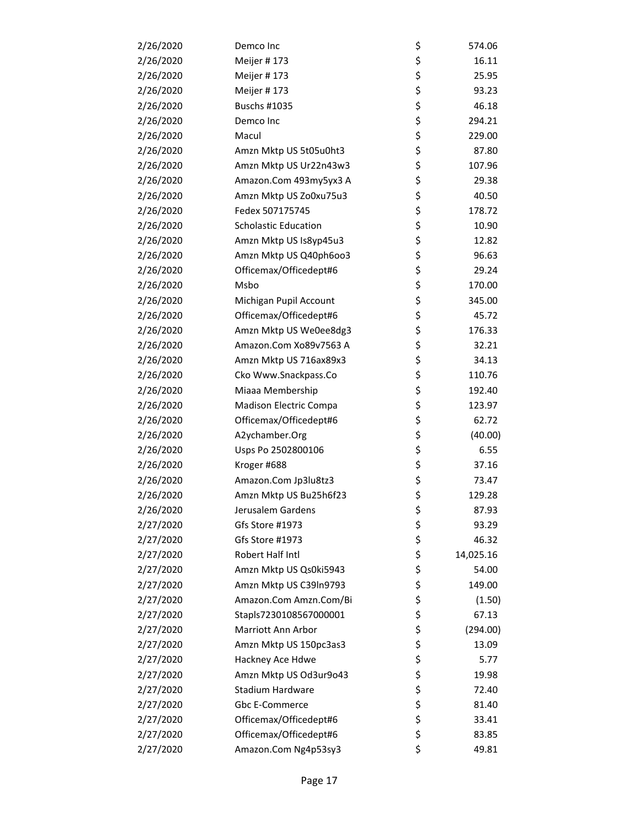| 2/26/2020 | Demco Inc                   | \$ | 574.06    |
|-----------|-----------------------------|----|-----------|
| 2/26/2020 | Meijer #173                 | \$ | 16.11     |
| 2/26/2020 | Meijer #173                 | \$ | 25.95     |
| 2/26/2020 | Meijer #173                 | \$ | 93.23     |
| 2/26/2020 | Buschs #1035                | \$ | 46.18     |
| 2/26/2020 | Demco Inc                   | \$ | 294.21    |
| 2/26/2020 | Macul                       | \$ | 229.00    |
| 2/26/2020 | Amzn Mktp US 5t05u0ht3      | \$ | 87.80     |
| 2/26/2020 | Amzn Mktp US Ur22n43w3      | \$ | 107.96    |
| 2/26/2020 | Amazon.Com 493my5yx3 A      | \$ | 29.38     |
| 2/26/2020 | Amzn Mktp US Zo0xu75u3      | \$ | 40.50     |
| 2/26/2020 | Fedex 507175745             | \$ | 178.72    |
| 2/26/2020 | <b>Scholastic Education</b> | \$ | 10.90     |
| 2/26/2020 | Amzn Mktp US Is8yp45u3      | \$ | 12.82     |
| 2/26/2020 | Amzn Mktp US Q40ph6oo3      | \$ | 96.63     |
| 2/26/2020 | Officemax/Officedept#6      | \$ | 29.24     |
| 2/26/2020 | Msbo                        | \$ | 170.00    |
| 2/26/2020 | Michigan Pupil Account      | \$ | 345.00    |
| 2/26/2020 | Officemax/Officedept#6      | \$ | 45.72     |
| 2/26/2020 | Amzn Mktp US We0ee8dg3      | \$ | 176.33    |
| 2/26/2020 | Amazon.Com Xo89v7563 A      | \$ | 32.21     |
| 2/26/2020 | Amzn Mktp US 716ax89x3      | \$ | 34.13     |
| 2/26/2020 | Cko Www.Snackpass.Co        | \$ | 110.76    |
| 2/26/2020 | Miaaa Membership            | \$ | 192.40    |
| 2/26/2020 | Madison Electric Compa      | \$ | 123.97    |
| 2/26/2020 | Officemax/Officedept#6      | \$ | 62.72     |
| 2/26/2020 | A2ychamber.Org              | \$ | (40.00)   |
| 2/26/2020 | Usps Po 2502800106          | \$ | 6.55      |
| 2/26/2020 | Kroger #688                 | \$ | 37.16     |
| 2/26/2020 | Amazon.Com Jp3lu8tz3        | \$ | 73.47     |
| 2/26/2020 | Amzn Mktp US Bu25h6f23      | \$ | 129.28    |
| 2/26/2020 | Jerusalem Gardens           | Ş  | 87.93     |
| 2/27/2020 | Gfs Store #1973             | \$ | 93.29     |
| 2/27/2020 | Gfs Store #1973             | \$ | 46.32     |
| 2/27/2020 | Robert Half Intl            | \$ | 14,025.16 |
| 2/27/2020 | Amzn Mktp US Qs0ki5943      | \$ | 54.00     |
| 2/27/2020 | Amzn Mktp US C39In9793      | \$ | 149.00    |
| 2/27/2020 | Amazon.Com Amzn.Com/Bi      | \$ | (1.50)    |
| 2/27/2020 | Stapls7230108567000001      | \$ | 67.13     |
| 2/27/2020 | Marriott Ann Arbor          | \$ | (294.00)  |
| 2/27/2020 | Amzn Mktp US 150pc3as3      | \$ | 13.09     |
| 2/27/2020 | Hackney Ace Hdwe            | \$ | 5.77      |
| 2/27/2020 | Amzn Mktp US Od3ur9o43      | \$ | 19.98     |
| 2/27/2020 | Stadium Hardware            | \$ | 72.40     |
| 2/27/2020 | Gbc E-Commerce              | \$ | 81.40     |
| 2/27/2020 | Officemax/Officedept#6      | \$ | 33.41     |
| 2/27/2020 | Officemax/Officedept#6      | \$ | 83.85     |
| 2/27/2020 | Amazon.Com Ng4p53sy3        | \$ | 49.81     |